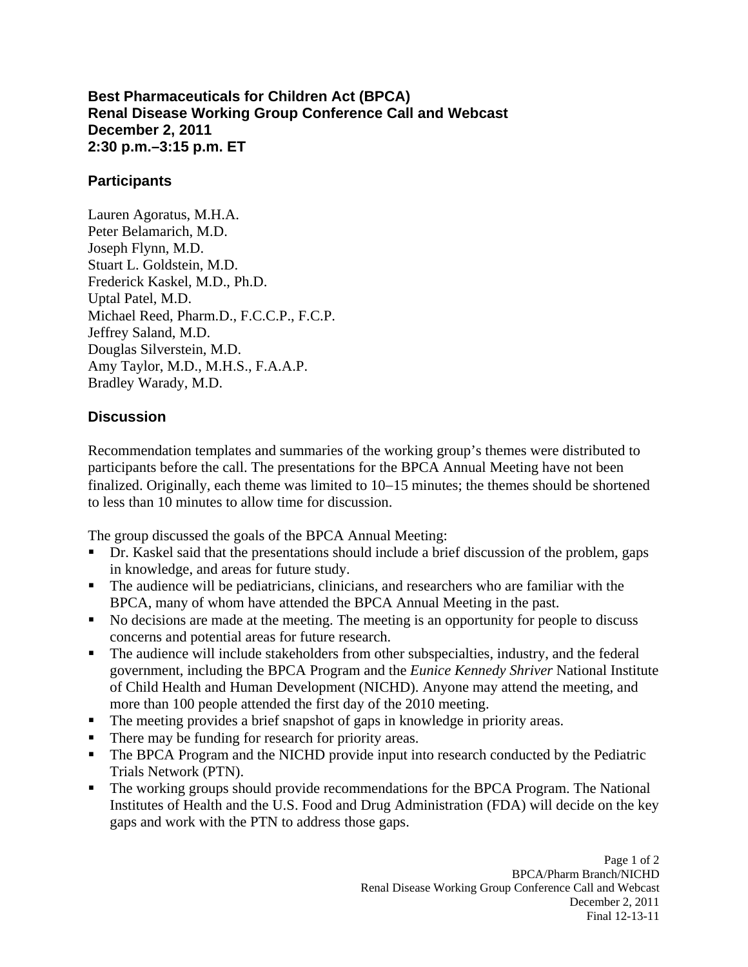**Best Pharmaceuticals for Children Act (BPCA) Renal Disease Working Group Conference Call and Webcast December 2, 2011 2:30 p.m.–3:15 p.m. ET** 

## **Participants**

Lauren Agoratus, M.H.A. Peter Belamarich, M.D. Joseph Flynn, M.D. Stuart L. Goldstein, M.D. Frederick Kaskel, M.D., Ph.D. Uptal Patel, M.D. Michael Reed, Pharm.D., F.C.C.P., F.C.P. Jeffrey Saland, M.D. Douglas Silverstein, M.D. Amy Taylor, M.D., M.H.S., F.A.A.P. Bradley Warady, M.D.

## **Discussion**

Recommendation templates and summaries of the working group's themes were distributed to participants before the call. The presentations for the BPCA Annual Meeting have not been finalized. Originally, each theme was limited to 10−15 minutes; the themes should be shortened to less than 10 minutes to allow time for discussion.

The group discussed the goals of the BPCA Annual Meeting:

- ٠ Dr. Kaskel said that the presentations should include a brief discussion of the problem, gaps in knowledge, and areas for future study.
- The audience will be pediatricians, clinicians, and researchers who are familiar with the BPCA, many of whom have attended the BPCA Annual Meeting in the past.
- No decisions are made at the meeting. The meeting is an opportunity for people to discuss concerns and potential areas for future research.
- The audience will include stakeholders from other subspecialties, industry, and the federal government, including the BPCA Program and the *Eunice Kennedy Shriver* National Institute of Child Health and Human Development (NICHD). Anyone may attend the meeting, and more than 100 people attended the first day of the 2010 meeting.
- The meeting provides a brief snapshot of gaps in knowledge in priority areas.
- There may be funding for research for priority areas. ٠
- The BPCA Program and the NICHD provide input into research conducted by the Pediatric Trials Network (PTN).
- The working groups should provide recommendations for the BPCA Program. The National Institutes of Health and the U.S. Food and Drug Administration (FDA) will decide on the key gaps and work with the PTN to address those gaps.  $\blacksquare$